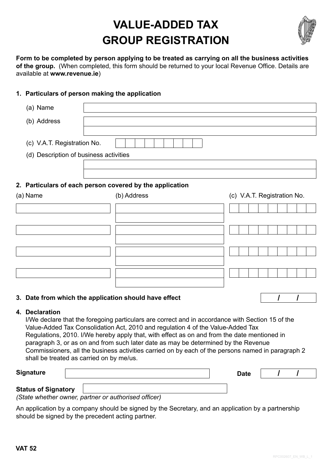## **VALUE-ADDED TAX GROUP REGISTRATION**



**Form to be completed by person applying to be treated as carrying on all the business activities of the group.** (When completed, this form should be returned to your local Revenue Office. Details are available at **www.revenue.ie**)

## **1. Particulars of person making the application**

| (a) Name                                                              |                                                                                                                                                                                                                                                                                                                                                                          |                                                                                                   |
|-----------------------------------------------------------------------|--------------------------------------------------------------------------------------------------------------------------------------------------------------------------------------------------------------------------------------------------------------------------------------------------------------------------------------------------------------------------|---------------------------------------------------------------------------------------------------|
| (b) Address                                                           |                                                                                                                                                                                                                                                                                                                                                                          |                                                                                                   |
| (c) V.A.T. Registration No.<br>(d) Description of business activities |                                                                                                                                                                                                                                                                                                                                                                          |                                                                                                   |
|                                                                       | 2. Particulars of each person covered by the application                                                                                                                                                                                                                                                                                                                 |                                                                                                   |
| (a) Name                                                              | (b) Address                                                                                                                                                                                                                                                                                                                                                              | (c) V.A.T. Registration No.                                                                       |
|                                                                       |                                                                                                                                                                                                                                                                                                                                                                          |                                                                                                   |
|                                                                       |                                                                                                                                                                                                                                                                                                                                                                          |                                                                                                   |
|                                                                       |                                                                                                                                                                                                                                                                                                                                                                          |                                                                                                   |
|                                                                       |                                                                                                                                                                                                                                                                                                                                                                          |                                                                                                   |
|                                                                       |                                                                                                                                                                                                                                                                                                                                                                          |                                                                                                   |
| 3. Date from which the application should have effect                 |                                                                                                                                                                                                                                                                                                                                                                          |                                                                                                   |
| 4. Declaration                                                        | I/We declare that the foregoing particulars are correct and in accordance with Section 15 of the<br>Value-Added Tax Consolidation Act, 2010 and regulation 4 of the Value-Added Tax<br>Regulations, 2010. I/We hereby apply that, with effect as on and from the date mentioned in<br>paragraph 3, or as on and from such later date as may be determined by the Revenue | Commissioners, all the business activities carried on by each of the nersons named in paragraph 2 |

Commissioners, all the business activities carried on by each of the persons named in paragraph 2 shall be treated as carried on by me/us.

**Signature Date / /**

## **Status of Signatory**

*(State whether owner, partner or authorised officer)*

An application by a company should be signed by the Secretary, and an application by a partnership should be signed by the precedent acting partner.